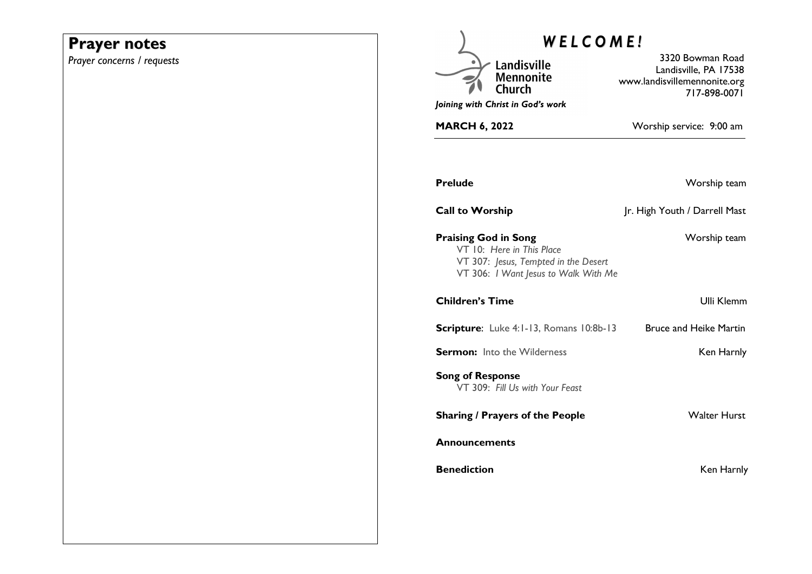# **Prayer notes**

*Prayer concerns / requests* 

| <b>WELCOME!</b>                                                                                                                          |                                                                                           |
|------------------------------------------------------------------------------------------------------------------------------------------|-------------------------------------------------------------------------------------------|
| Landisville<br><b>Mennonite</b><br>Church<br>Joining with Christ in God's work                                                           | 3320 Bowman Road<br>Landisville, PA 17538<br>www.landisvillemennonite.org<br>717-898-0071 |
| <b>MARCH 6, 2022</b>                                                                                                                     | Worship service: 9:00 am                                                                  |
|                                                                                                                                          |                                                                                           |
| Prelude                                                                                                                                  | Worship team                                                                              |
| <b>Call to Worship</b>                                                                                                                   | Jr. High Youth / Darrell Mast                                                             |
| <b>Praising God in Song</b><br>VT 10: Here in This Place<br>VT 307: Jesus, Tempted in the Desert<br>VT 306: I Want Jesus to Walk With Me | Worship team                                                                              |
| <b>Children's Time</b>                                                                                                                   | <b>Ulli Klemm</b>                                                                         |
| Scripture: Luke 4:1-13, Romans 10:8b-13                                                                                                  | <b>Bruce and Heike Martin</b>                                                             |
| <b>Sermon:</b> Into the Wilderness                                                                                                       | Ken Harnly                                                                                |
| <b>Song of Response</b><br>VT 309: Fill Us with Your Feast                                                                               |                                                                                           |
| <b>Sharing / Prayers of the People</b>                                                                                                   | <b>Walter Hurst</b>                                                                       |
| Announcements                                                                                                                            |                                                                                           |
| <b>Benediction</b>                                                                                                                       | Ken Harnly                                                                                |